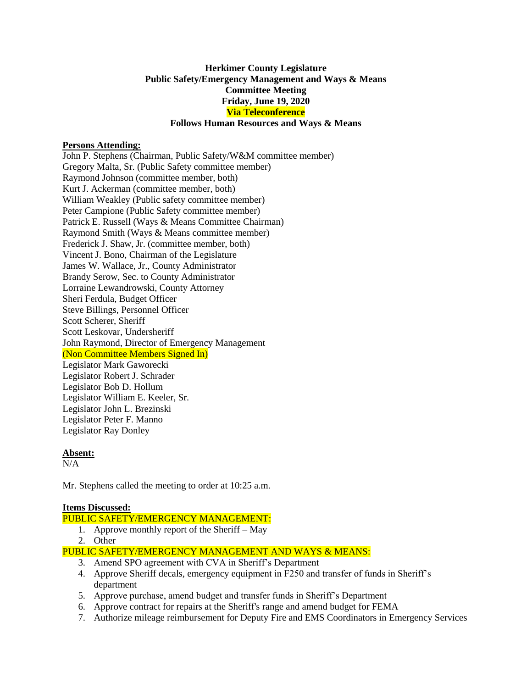#### **Herkimer County Legislature Public Safety/Emergency Management and Ways & Means Committee Meeting Friday, June 19, 2020 Via Teleconference Follows Human Resources and Ways & Means**

#### **Persons Attending:**

John P. Stephens (Chairman, Public Safety/W&M committee member) Gregory Malta, Sr. (Public Safety committee member) Raymond Johnson (committee member, both) Kurt J. Ackerman (committee member, both) William Weakley (Public safety committee member) Peter Campione (Public Safety committee member) Patrick E. Russell (Ways & Means Committee Chairman) Raymond Smith (Ways & Means committee member) Frederick J. Shaw, Jr. (committee member, both) Vincent J. Bono, Chairman of the Legislature James W. Wallace, Jr., County Administrator Brandy Serow, Sec. to County Administrator Lorraine Lewandrowski, County Attorney Sheri Ferdula, Budget Officer Steve Billings, Personnel Officer Scott Scherer, Sheriff Scott Leskovar, Undersheriff John Raymond, Director of Emergency Management (Non Committee Members Signed In) Legislator Mark Gaworecki Legislator Robert J. Schrader Legislator Bob D. Hollum Legislator William E. Keeler, Sr. Legislator John L. Brezinski Legislator Peter F. Manno Legislator Ray Donley

#### **Absent:**

 $N/A$ 

Mr. Stephens called the meeting to order at 10:25 a.m.

### **Items Discussed:**

PUBLIC SAFETY/EMERGENCY MANAGEMENT:

- 1. Approve monthly report of the Sheriff May
- 2. Other
- PUBLIC SAFETY/EMERGENCY MANAGEMENT AND WAYS & MEANS:
	- 3. Amend SPO agreement with CVA in Sheriff's Department
	- 4. Approve Sheriff decals, emergency equipment in F250 and transfer of funds in Sheriff's department
	- 5. Approve purchase, amend budget and transfer funds in Sheriff's Department
	- 6. Approve contract for repairs at the Sheriff's range and amend budget for FEMA
	- 7. Authorize mileage reimbursement for Deputy Fire and EMS Coordinators in Emergency Services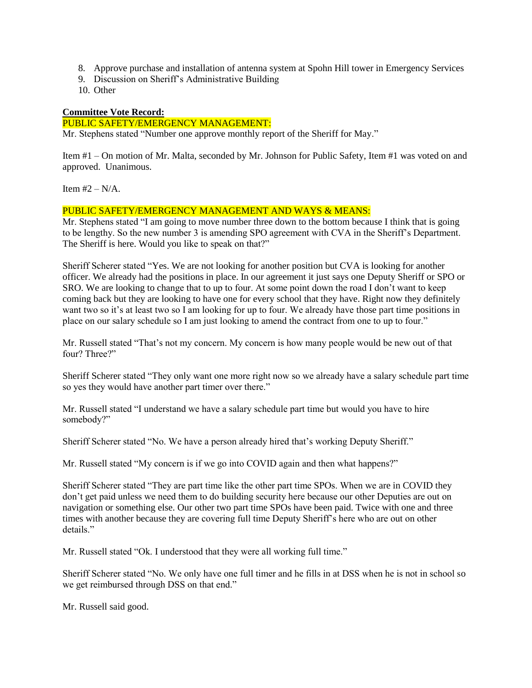- 8. Approve purchase and installation of antenna system at Spohn Hill tower in Emergency Services
- 9. Discussion on Sheriff's Administrative Building
- 10. Other

# **Committee Vote Record:**

## PUBLIC SAFETY/EMERGENCY MANAGEMENT:

Mr. Stephens stated "Number one approve monthly report of the Sheriff for May."

Item #1 – On motion of Mr. Malta, seconded by Mr. Johnson for Public Safety, Item #1 was voted on and approved. Unanimous.

Item  $#2 - N/A$ .

## PUBLIC SAFETY/EMERGENCY MANAGEMENT AND WAYS & MEANS:

Mr. Stephens stated "I am going to move number three down to the bottom because I think that is going to be lengthy. So the new number 3 is amending SPO agreement with CVA in the Sheriff's Department. The Sheriff is here. Would you like to speak on that?"

Sheriff Scherer stated "Yes. We are not looking for another position but CVA is looking for another officer. We already had the positions in place. In our agreement it just says one Deputy Sheriff or SPO or SRO. We are looking to change that to up to four. At some point down the road I don't want to keep coming back but they are looking to have one for every school that they have. Right now they definitely want two so it's at least two so I am looking for up to four. We already have those part time positions in place on our salary schedule so I am just looking to amend the contract from one to up to four."

Mr. Russell stated "That's not my concern. My concern is how many people would be new out of that four? Three?"

Sheriff Scherer stated "They only want one more right now so we already have a salary schedule part time so yes they would have another part timer over there."

Mr. Russell stated "I understand we have a salary schedule part time but would you have to hire somebody?"

Sheriff Scherer stated "No. We have a person already hired that's working Deputy Sheriff."

Mr. Russell stated "My concern is if we go into COVID again and then what happens?"

Sheriff Scherer stated "They are part time like the other part time SPOs. When we are in COVID they don't get paid unless we need them to do building security here because our other Deputies are out on navigation or something else. Our other two part time SPOs have been paid. Twice with one and three times with another because they are covering full time Deputy Sheriff's here who are out on other details."

Mr. Russell stated "Ok. I understood that they were all working full time."

Sheriff Scherer stated "No. We only have one full timer and he fills in at DSS when he is not in school so we get reimbursed through DSS on that end."

Mr. Russell said good.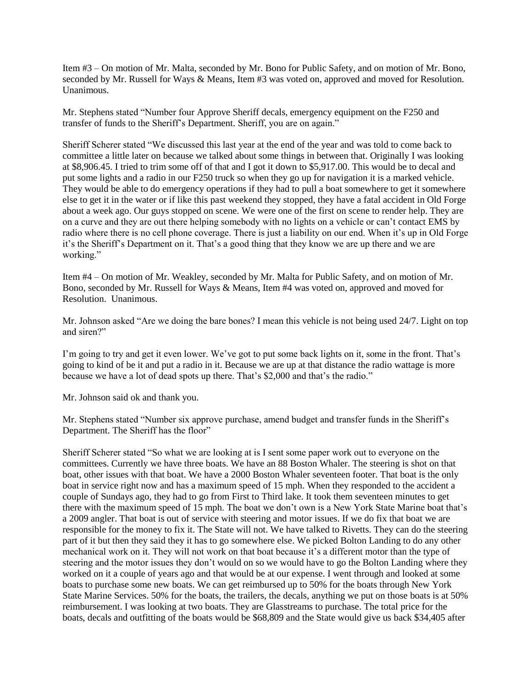Item #3 – On motion of Mr. Malta, seconded by Mr. Bono for Public Safety, and on motion of Mr. Bono, seconded by Mr. Russell for Ways & Means, Item #3 was voted on, approved and moved for Resolution. Unanimous.

Mr. Stephens stated "Number four Approve Sheriff decals, emergency equipment on the F250 and transfer of funds to the Sheriff's Department. Sheriff, you are on again."

Sheriff Scherer stated "We discussed this last year at the end of the year and was told to come back to committee a little later on because we talked about some things in between that. Originally I was looking at \$8,906.45. I tried to trim some off of that and I got it down to \$5,917.00. This would be to decal and put some lights and a radio in our F250 truck so when they go up for navigation it is a marked vehicle. They would be able to do emergency operations if they had to pull a boat somewhere to get it somewhere else to get it in the water or if like this past weekend they stopped, they have a fatal accident in Old Forge about a week ago. Our guys stopped on scene. We were one of the first on scene to render help. They are on a curve and they are out there helping somebody with no lights on a vehicle or can't contact EMS by radio where there is no cell phone coverage. There is just a liability on our end. When it's up in Old Forge it's the Sheriff's Department on it. That's a good thing that they know we are up there and we are working."

Item #4 – On motion of Mr. Weakley, seconded by Mr. Malta for Public Safety, and on motion of Mr. Bono, seconded by Mr. Russell for Ways & Means, Item #4 was voted on, approved and moved for Resolution. Unanimous.

Mr. Johnson asked "Are we doing the bare bones? I mean this vehicle is not being used 24/7. Light on top and siren?"

I'm going to try and get it even lower. We've got to put some back lights on it, some in the front. That's going to kind of be it and put a radio in it. Because we are up at that distance the radio wattage is more because we have a lot of dead spots up there. That's \$2,000 and that's the radio."

Mr. Johnson said ok and thank you.

Mr. Stephens stated "Number six approve purchase, amend budget and transfer funds in the Sheriff's Department. The Sheriff has the floor"

Sheriff Scherer stated "So what we are looking at is I sent some paper work out to everyone on the committees. Currently we have three boats. We have an 88 Boston Whaler. The steering is shot on that boat, other issues with that boat. We have a 2000 Boston Whaler seventeen footer. That boat is the only boat in service right now and has a maximum speed of 15 mph. When they responded to the accident a couple of Sundays ago, they had to go from First to Third lake. It took them seventeen minutes to get there with the maximum speed of 15 mph. The boat we don't own is a New York State Marine boat that's a 2009 angler. That boat is out of service with steering and motor issues. If we do fix that boat we are responsible for the money to fix it. The State will not. We have talked to Rivetts. They can do the steering part of it but then they said they it has to go somewhere else. We picked Bolton Landing to do any other mechanical work on it. They will not work on that boat because it's a different motor than the type of steering and the motor issues they don't would on so we would have to go the Bolton Landing where they worked on it a couple of years ago and that would be at our expense. I went through and looked at some boats to purchase some new boats. We can get reimbursed up to 50% for the boats through New York State Marine Services. 50% for the boats, the trailers, the decals, anything we put on those boats is at 50% reimbursement. I was looking at two boats. They are Glasstreams to purchase. The total price for the boats, decals and outfitting of the boats would be \$68,809 and the State would give us back \$34,405 after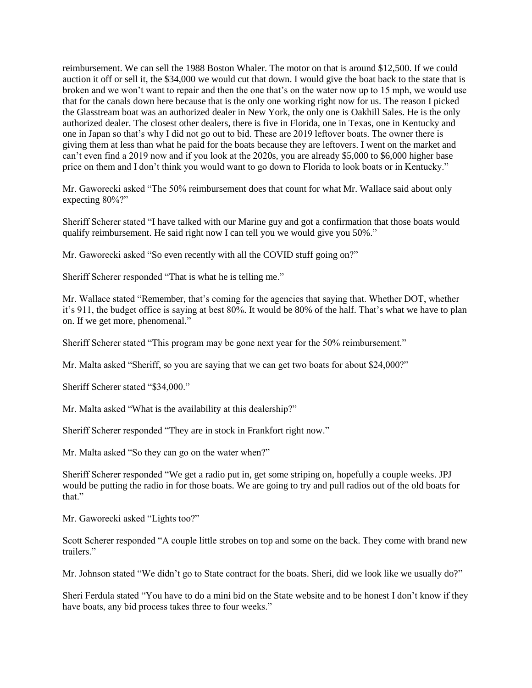reimbursement. We can sell the 1988 Boston Whaler. The motor on that is around \$12,500. If we could auction it off or sell it, the \$34,000 we would cut that down. I would give the boat back to the state that is broken and we won't want to repair and then the one that's on the water now up to 15 mph, we would use that for the canals down here because that is the only one working right now for us. The reason I picked the Glasstream boat was an authorized dealer in New York, the only one is Oakhill Sales. He is the only authorized dealer. The closest other dealers, there is five in Florida, one in Texas, one in Kentucky and one in Japan so that's why I did not go out to bid. These are 2019 leftover boats. The owner there is giving them at less than what he paid for the boats because they are leftovers. I went on the market and can't even find a 2019 now and if you look at the 2020s, you are already \$5,000 to \$6,000 higher base price on them and I don't think you would want to go down to Florida to look boats or in Kentucky."

Mr. Gaworecki asked "The 50% reimbursement does that count for what Mr. Wallace said about only expecting 80%?"

Sheriff Scherer stated "I have talked with our Marine guy and got a confirmation that those boats would qualify reimbursement. He said right now I can tell you we would give you 50%."

Mr. Gaworecki asked "So even recently with all the COVID stuff going on?"

Sheriff Scherer responded "That is what he is telling me."

Mr. Wallace stated "Remember, that's coming for the agencies that saying that. Whether DOT, whether it's 911, the budget office is saying at best 80%. It would be 80% of the half. That's what we have to plan on. If we get more, phenomenal."

Sheriff Scherer stated "This program may be gone next year for the 50% reimbursement."

Mr. Malta asked "Sheriff, so you are saying that we can get two boats for about \$24,000?"

Sheriff Scherer stated "\$34,000."

Mr. Malta asked "What is the availability at this dealership?"

Sheriff Scherer responded "They are in stock in Frankfort right now."

Mr. Malta asked "So they can go on the water when?"

Sheriff Scherer responded "We get a radio put in, get some striping on, hopefully a couple weeks. JPJ would be putting the radio in for those boats. We are going to try and pull radios out of the old boats for that."

Mr. Gaworecki asked "Lights too?"

Scott Scherer responded "A couple little strobes on top and some on the back. They come with brand new trailers."

Mr. Johnson stated "We didn't go to State contract for the boats. Sheri, did we look like we usually do?"

Sheri Ferdula stated "You have to do a mini bid on the State website and to be honest I don't know if they have boats, any bid process takes three to four weeks."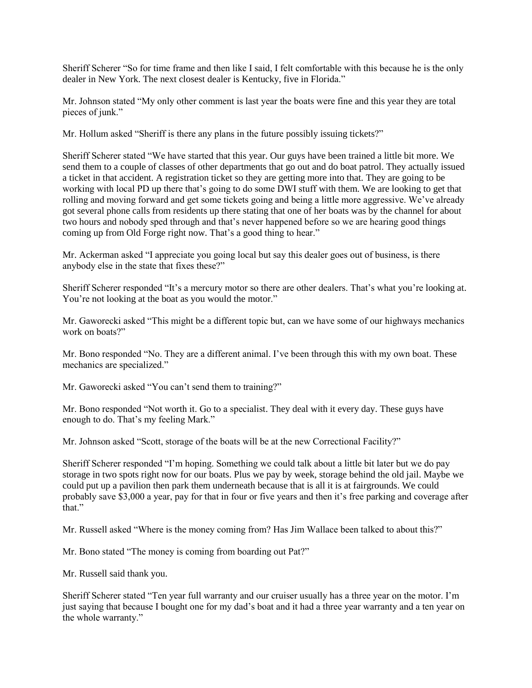Sheriff Scherer "So for time frame and then like I said, I felt comfortable with this because he is the only dealer in New York. The next closest dealer is Kentucky, five in Florida."

Mr. Johnson stated "My only other comment is last year the boats were fine and this year they are total pieces of junk."

Mr. Hollum asked "Sheriff is there any plans in the future possibly issuing tickets?"

Sheriff Scherer stated "We have started that this year. Our guys have been trained a little bit more. We send them to a couple of classes of other departments that go out and do boat patrol. They actually issued a ticket in that accident. A registration ticket so they are getting more into that. They are going to be working with local PD up there that's going to do some DWI stuff with them. We are looking to get that rolling and moving forward and get some tickets going and being a little more aggressive. We've already got several phone calls from residents up there stating that one of her boats was by the channel for about two hours and nobody sped through and that's never happened before so we are hearing good things coming up from Old Forge right now. That's a good thing to hear."

Mr. Ackerman asked "I appreciate you going local but say this dealer goes out of business, is there anybody else in the state that fixes these?"

Sheriff Scherer responded "It's a mercury motor so there are other dealers. That's what you're looking at. You're not looking at the boat as you would the motor."

Mr. Gaworecki asked "This might be a different topic but, can we have some of our highways mechanics work on boats?"

Mr. Bono responded "No. They are a different animal. I've been through this with my own boat. These mechanics are specialized."

Mr. Gaworecki asked "You can't send them to training?"

Mr. Bono responded "Not worth it. Go to a specialist. They deal with it every day. These guys have enough to do. That's my feeling Mark."

Mr. Johnson asked "Scott, storage of the boats will be at the new Correctional Facility?"

Sheriff Scherer responded "I'm hoping. Something we could talk about a little bit later but we do pay storage in two spots right now for our boats. Plus we pay by week, storage behind the old jail. Maybe we could put up a pavilion then park them underneath because that is all it is at fairgrounds. We could probably save \$3,000 a year, pay for that in four or five years and then it's free parking and coverage after that."

Mr. Russell asked "Where is the money coming from? Has Jim Wallace been talked to about this?"

Mr. Bono stated "The money is coming from boarding out Pat?"

Mr. Russell said thank you.

Sheriff Scherer stated "Ten year full warranty and our cruiser usually has a three year on the motor. I'm just saying that because I bought one for my dad's boat and it had a three year warranty and a ten year on the whole warranty."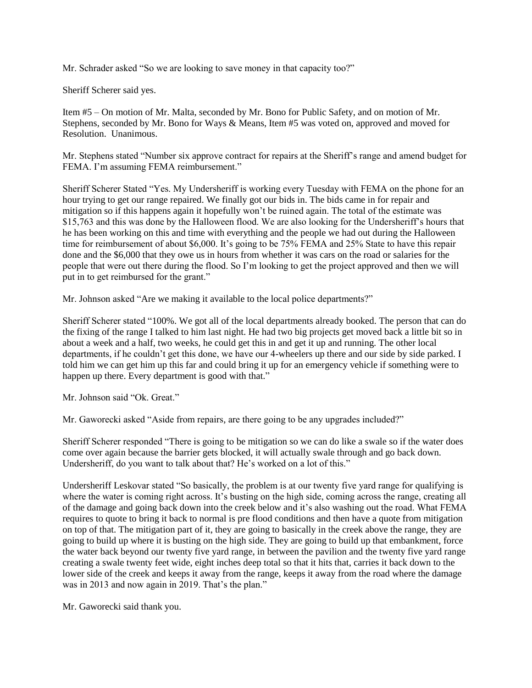Mr. Schrader asked "So we are looking to save money in that capacity too?"

Sheriff Scherer said yes.

Item #5 – On motion of Mr. Malta, seconded by Mr. Bono for Public Safety, and on motion of Mr. Stephens, seconded by Mr. Bono for Ways & Means, Item #5 was voted on, approved and moved for Resolution. Unanimous.

Mr. Stephens stated "Number six approve contract for repairs at the Sheriff's range and amend budget for FEMA. I'm assuming FEMA reimbursement."

Sheriff Scherer Stated "Yes. My Undersheriff is working every Tuesday with FEMA on the phone for an hour trying to get our range repaired. We finally got our bids in. The bids came in for repair and mitigation so if this happens again it hopefully won't be ruined again. The total of the estimate was \$15,763 and this was done by the Halloween flood. We are also looking for the Undersheriff's hours that he has been working on this and time with everything and the people we had out during the Halloween time for reimbursement of about \$6,000. It's going to be 75% FEMA and 25% State to have this repair done and the \$6,000 that they owe us in hours from whether it was cars on the road or salaries for the people that were out there during the flood. So I'm looking to get the project approved and then we will put in to get reimbursed for the grant."

Mr. Johnson asked "Are we making it available to the local police departments?"

Sheriff Scherer stated "100%. We got all of the local departments already booked. The person that can do the fixing of the range I talked to him last night. He had two big projects get moved back a little bit so in about a week and a half, two weeks, he could get this in and get it up and running. The other local departments, if he couldn't get this done, we have our 4-wheelers up there and our side by side parked. I told him we can get him up this far and could bring it up for an emergency vehicle if something were to happen up there. Every department is good with that."

Mr. Johnson said "Ok. Great."

Mr. Gaworecki asked "Aside from repairs, are there going to be any upgrades included?"

Sheriff Scherer responded "There is going to be mitigation so we can do like a swale so if the water does come over again because the barrier gets blocked, it will actually swale through and go back down. Undersheriff, do you want to talk about that? He's worked on a lot of this."

Undersheriff Leskovar stated "So basically, the problem is at our twenty five yard range for qualifying is where the water is coming right across. It's busting on the high side, coming across the range, creating all of the damage and going back down into the creek below and it's also washing out the road. What FEMA requires to quote to bring it back to normal is pre flood conditions and then have a quote from mitigation on top of that. The mitigation part of it, they are going to basically in the creek above the range, they are going to build up where it is busting on the high side. They are going to build up that embankment, force the water back beyond our twenty five yard range, in between the pavilion and the twenty five yard range creating a swale twenty feet wide, eight inches deep total so that it hits that, carries it back down to the lower side of the creek and keeps it away from the range, keeps it away from the road where the damage was in 2013 and now again in 2019. That's the plan."

Mr. Gaworecki said thank you.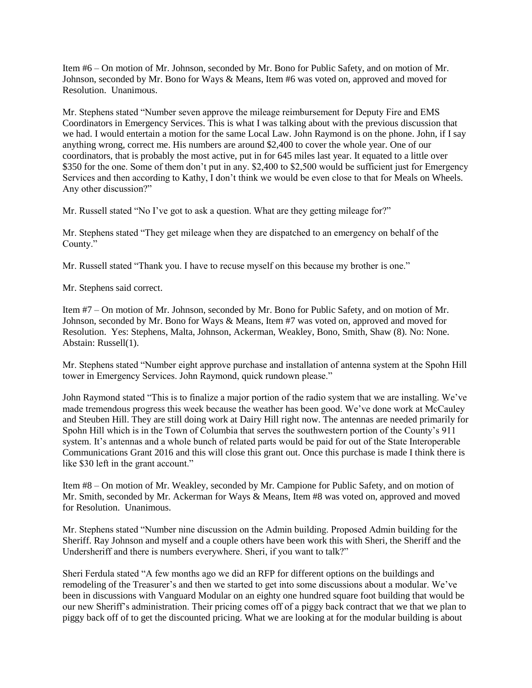Item #6 – On motion of Mr. Johnson, seconded by Mr. Bono for Public Safety, and on motion of Mr. Johnson, seconded by Mr. Bono for Ways & Means, Item #6 was voted on, approved and moved for Resolution. Unanimous.

Mr. Stephens stated "Number seven approve the mileage reimbursement for Deputy Fire and EMS Coordinators in Emergency Services. This is what I was talking about with the previous discussion that we had. I would entertain a motion for the same Local Law. John Raymond is on the phone. John, if I say anything wrong, correct me. His numbers are around \$2,400 to cover the whole year. One of our coordinators, that is probably the most active, put in for 645 miles last year. It equated to a little over \$350 for the one. Some of them don't put in any. \$2,400 to \$2,500 would be sufficient just for Emergency Services and then according to Kathy, I don't think we would be even close to that for Meals on Wheels. Any other discussion?"

Mr. Russell stated "No I've got to ask a question. What are they getting mileage for?"

Mr. Stephens stated "They get mileage when they are dispatched to an emergency on behalf of the County."

Mr. Russell stated "Thank you. I have to recuse myself on this because my brother is one."

Mr. Stephens said correct.

Item #7 – On motion of Mr. Johnson, seconded by Mr. Bono for Public Safety, and on motion of Mr. Johnson, seconded by Mr. Bono for Ways & Means, Item #7 was voted on, approved and moved for Resolution. Yes: Stephens, Malta, Johnson, Ackerman, Weakley, Bono, Smith, Shaw (8). No: None. Abstain: Russell(1).

Mr. Stephens stated "Number eight approve purchase and installation of antenna system at the Spohn Hill tower in Emergency Services. John Raymond, quick rundown please."

John Raymond stated "This is to finalize a major portion of the radio system that we are installing. We've made tremendous progress this week because the weather has been good. We've done work at McCauley and Steuben Hill. They are still doing work at Dairy Hill right now. The antennas are needed primarily for Spohn Hill which is in the Town of Columbia that serves the southwestern portion of the County's 911 system. It's antennas and a whole bunch of related parts would be paid for out of the State Interoperable Communications Grant 2016 and this will close this grant out. Once this purchase is made I think there is like \$30 left in the grant account."

Item #8 – On motion of Mr. Weakley, seconded by Mr. Campione for Public Safety, and on motion of Mr. Smith, seconded by Mr. Ackerman for Ways & Means, Item #8 was voted on, approved and moved for Resolution. Unanimous.

Mr. Stephens stated "Number nine discussion on the Admin building. Proposed Admin building for the Sheriff. Ray Johnson and myself and a couple others have been work this with Sheri, the Sheriff and the Undersheriff and there is numbers everywhere. Sheri, if you want to talk?"

Sheri Ferdula stated "A few months ago we did an RFP for different options on the buildings and remodeling of the Treasurer's and then we started to get into some discussions about a modular. We've been in discussions with Vanguard Modular on an eighty one hundred square foot building that would be our new Sheriff's administration. Their pricing comes off of a piggy back contract that we that we plan to piggy back off of to get the discounted pricing. What we are looking at for the modular building is about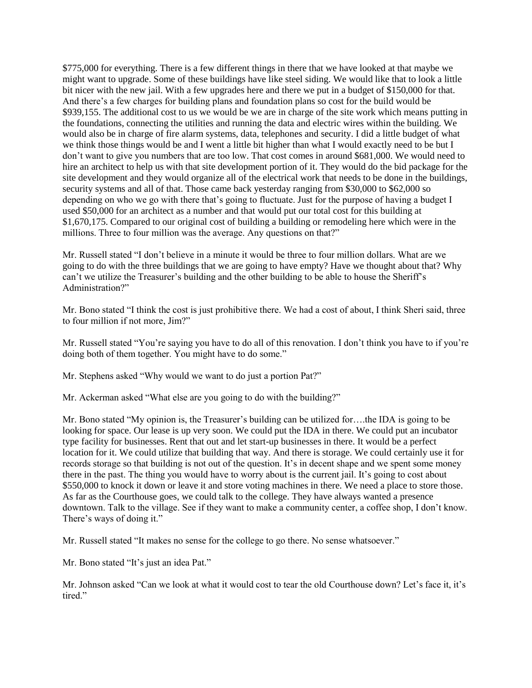\$775,000 for everything. There is a few different things in there that we have looked at that maybe we might want to upgrade. Some of these buildings have like steel siding. We would like that to look a little bit nicer with the new jail. With a few upgrades here and there we put in a budget of \$150,000 for that. And there's a few charges for building plans and foundation plans so cost for the build would be \$939,155. The additional cost to us we would be we are in charge of the site work which means putting in the foundations, connecting the utilities and running the data and electric wires within the building. We would also be in charge of fire alarm systems, data, telephones and security. I did a little budget of what we think those things would be and I went a little bit higher than what I would exactly need to be but I don't want to give you numbers that are too low. That cost comes in around \$681,000. We would need to hire an architect to help us with that site development portion of it. They would do the bid package for the site development and they would organize all of the electrical work that needs to be done in the buildings, security systems and all of that. Those came back yesterday ranging from \$30,000 to \$62,000 so depending on who we go with there that's going to fluctuate. Just for the purpose of having a budget I used \$50,000 for an architect as a number and that would put our total cost for this building at \$1,670,175. Compared to our original cost of building a building or remodeling here which were in the millions. Three to four million was the average. Any questions on that?"

Mr. Russell stated "I don't believe in a minute it would be three to four million dollars. What are we going to do with the three buildings that we are going to have empty? Have we thought about that? Why can't we utilize the Treasurer's building and the other building to be able to house the Sheriff's Administration?"

Mr. Bono stated "I think the cost is just prohibitive there. We had a cost of about, I think Sheri said, three to four million if not more, Jim?"

Mr. Russell stated "You're saying you have to do all of this renovation. I don't think you have to if you're doing both of them together. You might have to do some."

Mr. Stephens asked "Why would we want to do just a portion Pat?"

Mr. Ackerman asked "What else are you going to do with the building?"

Mr. Bono stated "My opinion is, the Treasurer's building can be utilized for….the IDA is going to be looking for space. Our lease is up very soon. We could put the IDA in there. We could put an incubator type facility for businesses. Rent that out and let start-up businesses in there. It would be a perfect location for it. We could utilize that building that way. And there is storage. We could certainly use it for records storage so that building is not out of the question. It's in decent shape and we spent some money there in the past. The thing you would have to worry about is the current jail. It's going to cost about \$550,000 to knock it down or leave it and store voting machines in there. We need a place to store those. As far as the Courthouse goes, we could talk to the college. They have always wanted a presence downtown. Talk to the village. See if they want to make a community center, a coffee shop, I don't know. There's ways of doing it."

Mr. Russell stated "It makes no sense for the college to go there. No sense whatsoever."

Mr. Bono stated "It's just an idea Pat."

Mr. Johnson asked "Can we look at what it would cost to tear the old Courthouse down? Let's face it, it's tired."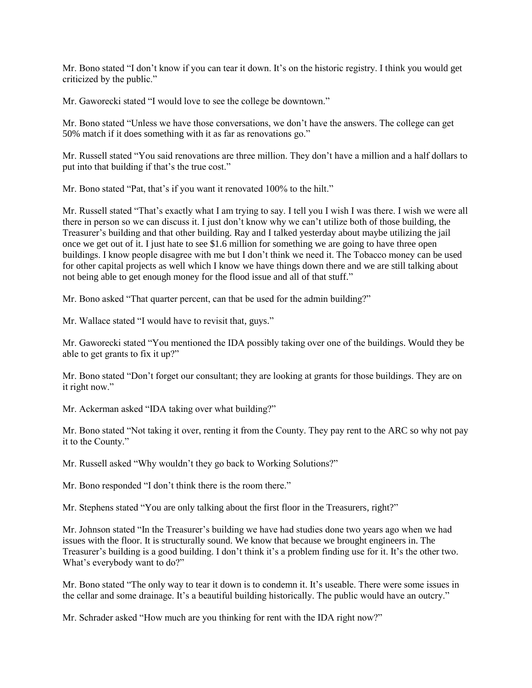Mr. Bono stated "I don't know if you can tear it down. It's on the historic registry. I think you would get criticized by the public."

Mr. Gaworecki stated "I would love to see the college be downtown."

Mr. Bono stated "Unless we have those conversations, we don't have the answers. The college can get 50% match if it does something with it as far as renovations go."

Mr. Russell stated "You said renovations are three million. They don't have a million and a half dollars to put into that building if that's the true cost."

Mr. Bono stated "Pat, that's if you want it renovated 100% to the hilt."

Mr. Russell stated "That's exactly what I am trying to say. I tell you I wish I was there. I wish we were all there in person so we can discuss it. I just don't know why we can't utilize both of those building, the Treasurer's building and that other building. Ray and I talked yesterday about maybe utilizing the jail once we get out of it. I just hate to see \$1.6 million for something we are going to have three open buildings. I know people disagree with me but I don't think we need it. The Tobacco money can be used for other capital projects as well which I know we have things down there and we are still talking about not being able to get enough money for the flood issue and all of that stuff."

Mr. Bono asked "That quarter percent, can that be used for the admin building?"

Mr. Wallace stated "I would have to revisit that, guys."

Mr. Gaworecki stated "You mentioned the IDA possibly taking over one of the buildings. Would they be able to get grants to fix it up?"

Mr. Bono stated "Don't forget our consultant; they are looking at grants for those buildings. They are on it right now."

Mr. Ackerman asked "IDA taking over what building?"

Mr. Bono stated "Not taking it over, renting it from the County. They pay rent to the ARC so why not pay it to the County."

Mr. Russell asked "Why wouldn't they go back to Working Solutions?"

Mr. Bono responded "I don't think there is the room there."

Mr. Stephens stated "You are only talking about the first floor in the Treasurers, right?"

Mr. Johnson stated "In the Treasurer's building we have had studies done two years ago when we had issues with the floor. It is structurally sound. We know that because we brought engineers in. The Treasurer's building is a good building. I don't think it's a problem finding use for it. It's the other two. What's everybody want to do?"

Mr. Bono stated "The only way to tear it down is to condemn it. It's useable. There were some issues in the cellar and some drainage. It's a beautiful building historically. The public would have an outcry."

Mr. Schrader asked "How much are you thinking for rent with the IDA right now?"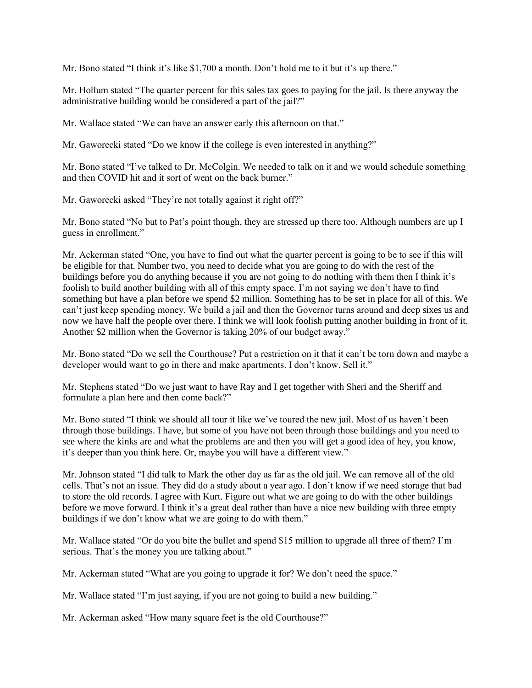Mr. Bono stated "I think it's like \$1,700 a month. Don't hold me to it but it's up there."

Mr. Hollum stated "The quarter percent for this sales tax goes to paying for the jail. Is there anyway the administrative building would be considered a part of the jail?"

Mr. Wallace stated "We can have an answer early this afternoon on that."

Mr. Gaworecki stated "Do we know if the college is even interested in anything?"

Mr. Bono stated "I've talked to Dr. McColgin. We needed to talk on it and we would schedule something and then COVID hit and it sort of went on the back burner."

Mr. Gaworecki asked "They're not totally against it right off?"

Mr. Bono stated "No but to Pat's point though, they are stressed up there too. Although numbers are up I guess in enrollment."

Mr. Ackerman stated "One, you have to find out what the quarter percent is going to be to see if this will be eligible for that. Number two, you need to decide what you are going to do with the rest of the buildings before you do anything because if you are not going to do nothing with them then I think it's foolish to build another building with all of this empty space. I'm not saying we don't have to find something but have a plan before we spend \$2 million. Something has to be set in place for all of this. We can't just keep spending money. We build a jail and then the Governor turns around and deep sixes us and now we have half the people over there. I think we will look foolish putting another building in front of it. Another \$2 million when the Governor is taking 20% of our budget away."

Mr. Bono stated "Do we sell the Courthouse? Put a restriction on it that it can't be torn down and maybe a developer would want to go in there and make apartments. I don't know. Sell it."

Mr. Stephens stated "Do we just want to have Ray and I get together with Sheri and the Sheriff and formulate a plan here and then come back?"

Mr. Bono stated "I think we should all tour it like we've toured the new jail. Most of us haven't been through those buildings. I have, but some of you have not been through those buildings and you need to see where the kinks are and what the problems are and then you will get a good idea of hey, you know, it's deeper than you think here. Or, maybe you will have a different view."

Mr. Johnson stated "I did talk to Mark the other day as far as the old jail. We can remove all of the old cells. That's not an issue. They did do a study about a year ago. I don't know if we need storage that bad to store the old records. I agree with Kurt. Figure out what we are going to do with the other buildings before we move forward. I think it's a great deal rather than have a nice new building with three empty buildings if we don't know what we are going to do with them."

Mr. Wallace stated "Or do you bite the bullet and spend \$15 million to upgrade all three of them? I'm serious. That's the money you are talking about."

Mr. Ackerman stated "What are you going to upgrade it for? We don't need the space."

Mr. Wallace stated "I'm just saying, if you are not going to build a new building."

Mr. Ackerman asked "How many square feet is the old Courthouse?"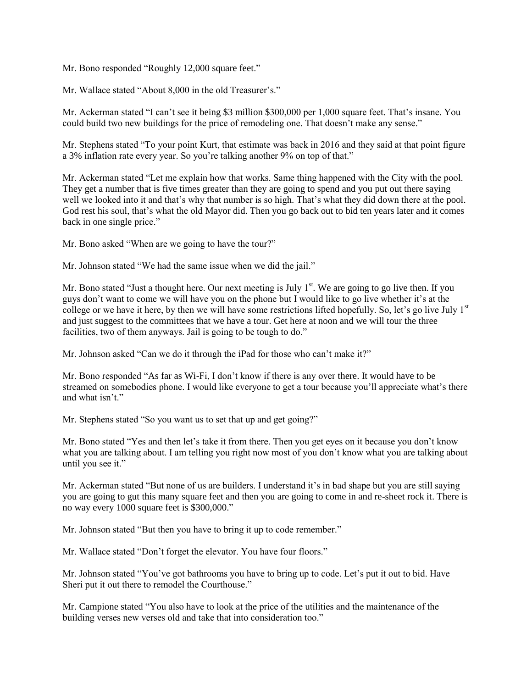Mr. Bono responded "Roughly 12,000 square feet."

Mr. Wallace stated "About 8,000 in the old Treasurer's."

Mr. Ackerman stated "I can't see it being \$3 million \$300,000 per 1,000 square feet. That's insane. You could build two new buildings for the price of remodeling one. That doesn't make any sense."

Mr. Stephens stated "To your point Kurt, that estimate was back in 2016 and they said at that point figure a 3% inflation rate every year. So you're talking another 9% on top of that."

Mr. Ackerman stated "Let me explain how that works. Same thing happened with the City with the pool. They get a number that is five times greater than they are going to spend and you put out there saying well we looked into it and that's why that number is so high. That's what they did down there at the pool. God rest his soul, that's what the old Mayor did. Then you go back out to bid ten years later and it comes back in one single price."

Mr. Bono asked "When are we going to have the tour?"

Mr. Johnson stated "We had the same issue when we did the jail."

Mr. Bono stated "Just a thought here. Our next meeting is July  $1<sup>st</sup>$ . We are going to go live then. If you guys don't want to come we will have you on the phone but I would like to go live whether it's at the college or we have it here, by then we will have some restrictions lifted hopefully. So, let's go live July  $1<sup>st</sup>$ and just suggest to the committees that we have a tour. Get here at noon and we will tour the three facilities, two of them anyways. Jail is going to be tough to do."

Mr. Johnson asked "Can we do it through the iPad for those who can't make it?"

Mr. Bono responded "As far as Wi-Fi, I don't know if there is any over there. It would have to be streamed on somebodies phone. I would like everyone to get a tour because you'll appreciate what's there and what isn't."

Mr. Stephens stated "So you want us to set that up and get going?"

Mr. Bono stated "Yes and then let's take it from there. Then you get eyes on it because you don't know what you are talking about. I am telling you right now most of you don't know what you are talking about until you see it."

Mr. Ackerman stated "But none of us are builders. I understand it's in bad shape but you are still saying you are going to gut this many square feet and then you are going to come in and re-sheet rock it. There is no way every 1000 square feet is \$300,000."

Mr. Johnson stated "But then you have to bring it up to code remember."

Mr. Wallace stated "Don't forget the elevator. You have four floors."

Mr. Johnson stated "You've got bathrooms you have to bring up to code. Let's put it out to bid. Have Sheri put it out there to remodel the Courthouse."

Mr. Campione stated "You also have to look at the price of the utilities and the maintenance of the building verses new verses old and take that into consideration too."